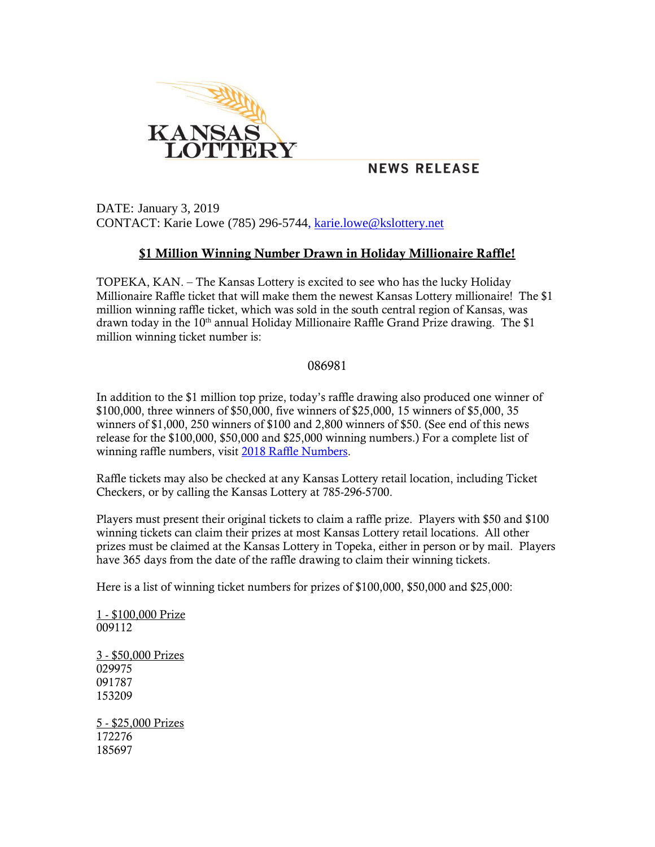

## **NEWS RELEASE**

DATE: January 3, 2019 CONTACT: Karie Lowe (785) 296-5744, [karie.lowe@kslottery.net](mailto:karie.lowe@kslottery.net)

## **\$1 Million Winning Number Drawn in Holiday Millionaire Raffle!**

TOPEKA, KAN. – The Kansas Lottery is excited to see who has the lucky Holiday Millionaire Raffle ticket that will make them the newest Kansas Lottery millionaire! The \$1 million winning raffle ticket, which was sold in the south central region of Kansas, was drawn today in the  $10<sup>th</sup>$  annual Holiday Millionaire Raffle Grand Prize drawing. The \$1 million winning ticket number is:

## 086981

In addition to the \$1 million top prize, today's raffle drawing also produced one winner of \$100,000, three winners of \$50,000, five winners of \$25,000, 15 winners of \$5,000, 35 winners of \$1,000, 250 winners of \$100 and 2,800 winners of \$50. (See end of this news release for the \$100,000, \$50,000 and \$25,000 winning numbers.) For a complete list of winning raffle numbers, visit [2018 Raffle Numbers.](http://www.kslottery.com/NumbersLookup/RAFLPreviousNumbers2018.aspx)

Raffle tickets may also be checked at any Kansas Lottery retail location, including Ticket Checkers, or by calling the Kansas Lottery at 785-296-5700.

Players must present their original tickets to claim a raffle prize. Players with \$50 and \$100 winning tickets can claim their prizes at most Kansas Lottery retail locations. All other prizes must be claimed at the Kansas Lottery in Topeka, either in person or by mail. Players have 365 days from the date of the raffle drawing to claim their winning tickets.

Here is a list of winning ticket numbers for prizes of \$100,000, \$50,000 and \$25,000:

1 - \$100,000 Prize 009112

3 - \$50,000 Prizes 029975 091787 153209

5 - \$25,000 Prizes 172276 185697